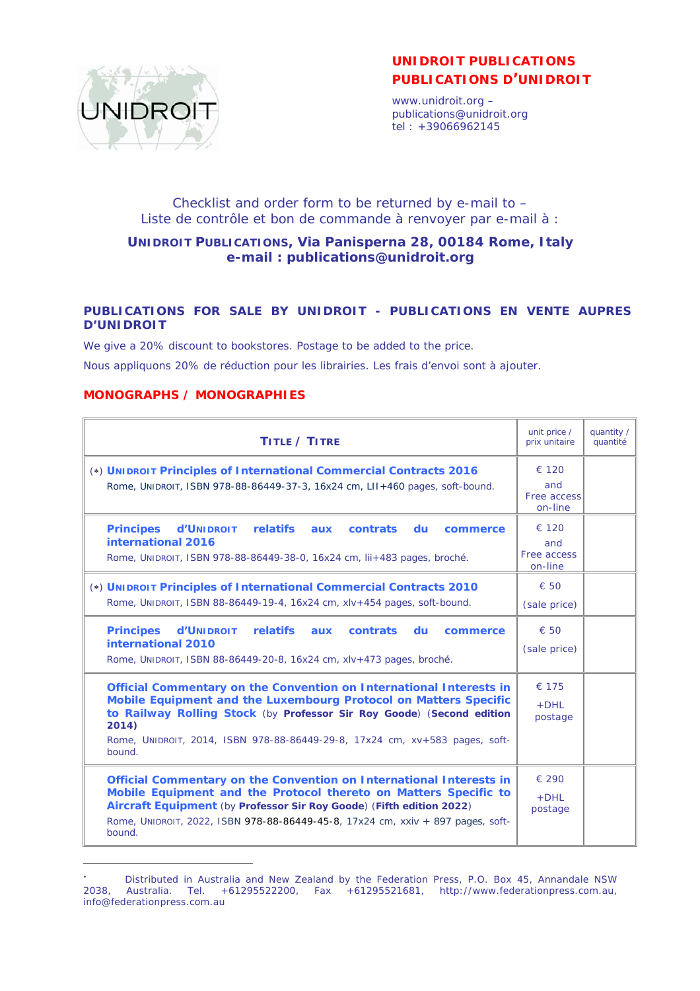

# **UNIDROIT PUBLICATIONS PUBLICATIONS D'UNIDROIT**

www.unidroit.org – publications@unidroit.org  $\text{tel}: +39066962145$ 

## Checklist and order form to be returned by e-mail to – *Liste de contrôle et bon de commande à renvoyer par e-mail à* :

#### **UNIDROIT PUBLICATIONS, Via Panisperna 28, 00184 Rome, Italy e-mail : publications@unidroit.org**

#### **PUBLICATIONS FOR SALE BY UNIDROIT -** *PUBLICATIONS EN VENTE AUPRES D'UNIDROIT*

We give a 20% discount to bookstores. Postage to be added to the price.

*Nous appliquons 20% de réduction pour les librairies. Les frais d'envoi sont à ajouter.* 

#### **MONOGRAPHS / MONOGRAPHIES**

| TITLE / TITRE                                                                                                                                                                                                                                                                                                      | unit price /<br>prix unitaire                   | quantity /<br>quantité |
|--------------------------------------------------------------------------------------------------------------------------------------------------------------------------------------------------------------------------------------------------------------------------------------------------------------------|-------------------------------------------------|------------------------|
| (*) UNIDROIT Principles of International Commercial Contracts 2016<br>Rome, UNIDROIT, ISBN 978-88-86449-37-3, 16x24 cm, LII+460 pages, soft-bound.                                                                                                                                                                 | € 120<br>and<br>Free access<br>on-line          |                        |
| <b>Principes</b><br><b>d'UNIDROIT</b><br><b>relatifs</b><br>contrats du<br>aux<br>commerce<br>international 2016<br>Rome, UNIDROIT, ISBN 978-88-86449-38-0, 16x24 cm, lii+483 pages, broché.                                                                                                                       | $\epsilon$ 120<br>and<br>Free access<br>on-line |                        |
| (*) UNIDROIT Principles of International Commercial Contracts 2010<br>Rome, UNIDROIT, ISBN 88-86449-19-4, 16x24 cm, xlv+454 pages, soft-bound.                                                                                                                                                                     | $\epsilon$ 50<br>(sale price)                   |                        |
| <b>Principes</b><br><b>d'UNIDROIT</b><br><b>relatifs</b><br>contrats du<br>aux<br>commerce<br>international 2010<br>Rome, UNIDROIT, ISBN 88-86449-20-8, 16x24 cm, xlv+473 pages, broché.                                                                                                                           | $\epsilon$ 50<br>(sale price)                   |                        |
| Official Commentary on the Convention on International Interests in<br>Mobile Equipment and the Luxembourg Protocol on Matters Specific<br>to Railway Rolling Stock (by Professor Sir Roy Goode) (Second edition<br>2014)<br>Rome, UNIDROIT, 2014, ISBN 978-88-86449-29-8, 17x24 cm, xv+583 pages, soft-<br>bound. | € 175<br>$+$ DHL<br>postage                     |                        |
| Official Commentary on the Convention on International Interests in<br>Mobile Equipment and the Protocol thereto on Matters Specific to<br>Aircraft Equipment (by Professor Sir Roy Goode) (Fifth edition 2022)<br>Rome, UNIDROIT, 2022, ISBN 978-88-86449-45-8, 17x24 cm, xxiv + 897 pages, soft-<br>bound.       | $\epsilon$ 290<br>$+$ DHL<br>postage            |                        |

Distributed in Australia and New Zealand by the Federation Press, P.O. Box 45, Annandale NSW 2038, Australia. Tel. +61295522200, Fax +61295521681, http://www.federationpress.com.au, info@federationpress.com.au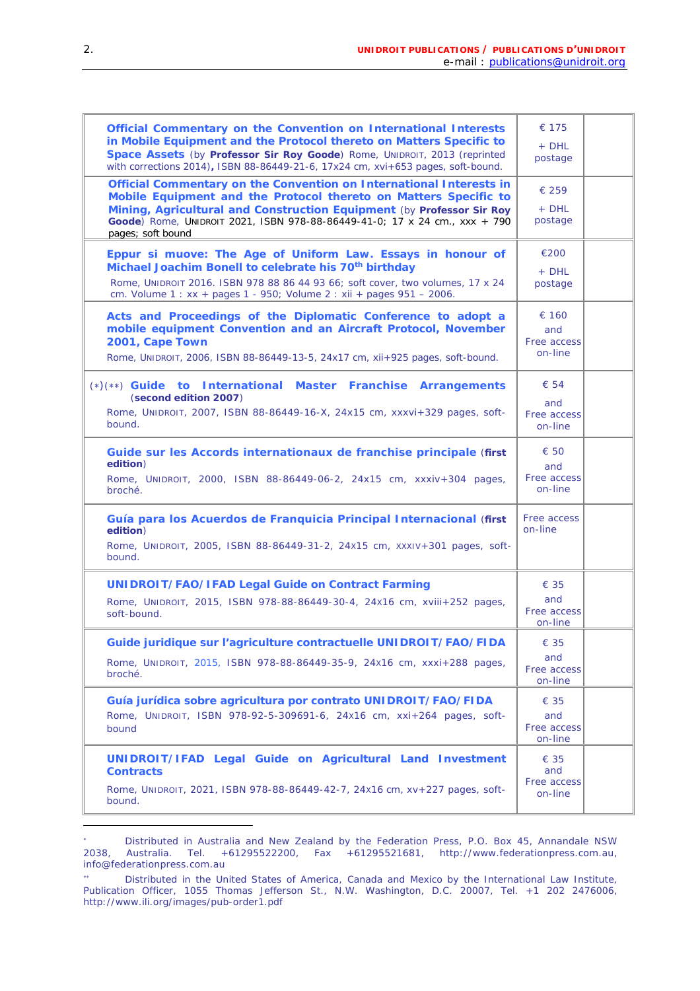| Official Commentary on the Convention on International Interests<br>in Mobile Equipment and the Protocol thereto on Matters Specific to<br>Space Assets (by Professor Sir Roy Goode) Rome, UNIDROIT, 2013 (reprinted<br>with corrections 2014), ISBN 88-86449-21-6, 17x24 cm, xvi+653 pages, soft-bound.            | € 175<br>+ DHL<br>postage                      |  |
|---------------------------------------------------------------------------------------------------------------------------------------------------------------------------------------------------------------------------------------------------------------------------------------------------------------------|------------------------------------------------|--|
| Official Commentary on the Convention on International Interests in<br>Mobile Equipment and the Protocol thereto on Matters Specific to<br>Mining, Agricultural and Construction Equipment (by Professor Sir Roy<br>Goode) Rome, UNIDROIT 2021, ISBN 978-88-86449-41-0; 17 x 24 cm., xxx + 790<br>pages; soft bound | $\epsilon$ 259<br>+ DHL<br>postage             |  |
| Eppur si muove: The Age of Uniform Law. Essays in honour of<br>Michael Joachim Bonell to celebrate his 70 <sup>th</sup> birthday<br>Rome, UNIDROIT 2016. ISBN 978 88 86 44 93 66; soft cover, two volumes, 17 x 24<br>cm. Volume 1 : xx + pages 1 - 950; Volume 2 : xii + pages 951 - 2006.                         | €200<br>+ DHL<br>postage                       |  |
| Acts and Proceedings of the Diplomatic Conference to adopt a<br>mobile equipment Convention and an Aircraft Protocol, November<br>2001, Cape Town<br>Rome, UNIDROIT, 2006, ISBN 88-86449-13-5, 24x17 cm, xii+925 pages, soft-bound.                                                                                 | € 160<br>and<br>Free access<br>on-line         |  |
| (*)(**) Guide to International Master Franchise Arrangements<br>(second edition 2007)<br>Rome, UNIDROIT, 2007, ISBN 88-86449-16-X, 24x15 cm, xxxvi+329 pages, soft-<br>bound.                                                                                                                                       | $\epsilon$ 54<br>and<br>Free access<br>on-line |  |
| Guide sur les Accords internationaux de franchise principale (first<br>edition)<br>Rome, UNIDROIT, 2000, ISBN 88-86449-06-2, 24x15 cm, xxxiv+304 pages,<br>broché.                                                                                                                                                  | $\epsilon$ 50<br>and<br>Free access<br>on-line |  |
| Guía para los Acuerdos de Franquicia Principal Internacional (first<br>edition)<br>Rome, UNIDROIT, 2005, ISBN 88-86449-31-2, 24x15 cm, XXXIV+301 pages, soft-<br>bound.                                                                                                                                             | Free access<br>on-line                         |  |
| <b>UNIDROIT/FAO/IFAD Legal Guide on Contract Farming</b><br>Rome, UNIDROIT, 2015, ISBN 978-88-86449-30-4, 24x16 cm, xviii+252 pages,<br>soft-bound.                                                                                                                                                                 | € 35<br>and<br>Free access<br>on-line          |  |
| Guide juridique sur l'agriculture contractuelle UNIDROIT/FAO/FIDA<br>Rome, UNIDROIT, 2015, ISBN 978-88-86449-35-9, 24x16 cm, xxxi+288 pages,<br>broché.                                                                                                                                                             | € 35<br>and<br>Free access<br>on-line          |  |
| Guía jurídica sobre agricultura por contrato UNIDROIT/FAO/FIDA<br>Rome, UNIDROIT, ISBN 978-92-5-309691-6, 24x16 cm, xxi+264 pages, soft-<br>bound                                                                                                                                                                   | $\epsilon$ 35<br>and<br>Free access<br>on-line |  |
| UNIDROIT/IFAD Legal Guide on Agricultural Land Investment<br><b>Contracts</b><br>Rome, UNIDROIT, 2021, ISBN 978-88-86449-42-7, 24x16 cm, xv+227 pages, soft-<br>bound.                                                                                                                                              | $\epsilon$ 35<br>and<br>Free access<br>on-line |  |

<sup>\*</sup> <sup>\*</sup> Distributed in Australia and New Zealand by the Federation Press, P.O. Box 45, Annandale NSW<br>2038. Australia. Tel. +61295522200. Fax +61295521681. http://www.federationpress.com.au. 2038, Australia. Tel. +61295522200, Fax +61295521681, http://www.federationpress.com.au, info@federationpress.com.au

Distributed in the United States of America, Canada and Mexico by the International Law Institute, Publication Officer, 1055 Thomas Jefferson St., N.W. Washington, D.C. 20007, Tel. +1 202 2476006, http://www.ili.org/images/pub-order1.pdf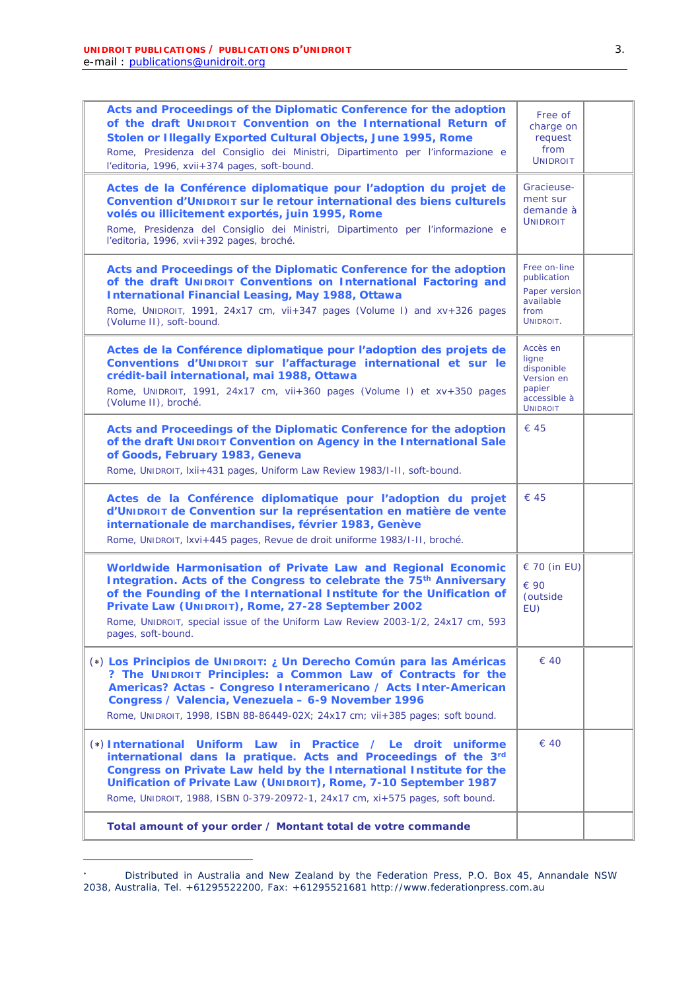| Acts and Proceedings of the Diplomatic Conference for the adoption<br>of the draft UNIDROIT Convention on the International Return of<br>Stolen or Illegally Exported Cultural Objects, June 1995, Rome<br>Rome, Presidenza del Consiglio dei Ministri, Dipartimento per l'informazione e<br>l'editoria, 1996, xvii+374 pages, soft-bound.                                              | Free of<br>charge on<br>request<br>from<br><b>UNIDROIT</b>                                 |  |
|-----------------------------------------------------------------------------------------------------------------------------------------------------------------------------------------------------------------------------------------------------------------------------------------------------------------------------------------------------------------------------------------|--------------------------------------------------------------------------------------------|--|
| Actes de la Conférence diplomatique pour l'adoption du projet de<br><b>Convention d'UNIDROIT sur le retour international des biens culturels</b><br>volés ou illicitement exportés, juin 1995, Rome<br>Rome, Presidenza del Consiglio dei Ministri, Dipartimento per l'informazione e<br>l'editoria, 1996, xvii+392 pages, broché.                                                      | Gracieuse-<br>ment sur<br>demande à<br><b>UNIDROIT</b>                                     |  |
| Acts and Proceedings of the Diplomatic Conference for the adoption<br>of the draft UNIDROIT Conventions on International Factoring and<br><b>International Financial Leasing, May 1988, Ottawa</b><br>Rome, UNIDROIT, 1991, 24x17 cm, vii+347 pages (Volume I) and xv+326 pages<br>(Volume II), soft-bound.                                                                             | Free on-line<br>publication<br>Paper version<br>available<br>from<br>UNIDROIT.             |  |
| Actes de la Conférence diplomatique pour l'adoption des projets de<br>Conventions d'UNIDROIT sur l'affacturage international et sur le<br>crédit-bail international, mai 1988, Ottawa<br>Rome, UNIDROIT, 1991, 24x17 cm, vii+360 pages (Volume I) et xv+350 pages<br>(Volume II), broché.                                                                                               | Accès en<br>ligne<br>disponible<br>Version en<br>papier<br>accessible à<br><b>UNIDROIT</b> |  |
| Acts and Proceedings of the Diplomatic Conference for the adoption<br>of the draft UNIDROIT Convention on Agency in the International Sale<br>of Goods, February 1983, Geneva<br>Rome, UNIDROIT, Ixii+431 pages, Uniform Law Review 1983/I-II, soft-bound.                                                                                                                              | € 45                                                                                       |  |
| Actes de la Conférence diplomatique pour l'adoption du projet<br>d'UNIDROIT de Convention sur la représentation en matière de vente<br>internationale de marchandises, février 1983, Genève<br>Rome, UNIDROIT, Ixvi+445 pages, Revue de droit uniforme 1983/I-II, broché.                                                                                                               | € 45                                                                                       |  |
| Worldwide Harmonisation of Private Law and Regional Economic<br>Integration. Acts of the Congress to celebrate the 75 <sup>th</sup> Anniversary<br>of the Founding of the International Institute for the Unification of<br>Private Law (UNIDROIT), Rome, 27-28 September 2002<br>Rome, UNIDROIT, special issue of the Uniform Law Review 2003-1/2, 24x17 cm, 593<br>pages, soft-bound. | € 70 (in EU)<br>€ 90<br>(outside<br>EU)                                                    |  |
| (*) Los Principios de UNIDROIT: ¿ Un Derecho Común para las Américas<br>? The UNIDROIT Principles: a Common Law of Contracts for the<br>Americas? Actas - Congreso Interamericano / Acts Inter-American<br>Congress / Valencia, Venezuela - 6-9 November 1996<br>Rome, UNIDROIT, 1998, ISBN 88-86449-02X; 24x17 cm; vii+385 pages; soft bound.                                          | $\epsilon$ 40                                                                              |  |
| (*) International Uniform Law in Practice / Le droit uniforme<br>international dans la pratique. Acts and Proceedings of the 3rd<br>Congress on Private Law held by the International Institute for the<br>Unification of Private Law (UNIDROIT), Rome, 7-10 September 1987<br>Rome, UNIDROIT, 1988, ISBN 0-379-20972-1, 24x17 cm, xi+575 pages, soft bound.                            | $\epsilon$ 40                                                                              |  |
| Total amount of your order / Montant total de votre commande                                                                                                                                                                                                                                                                                                                            |                                                                                            |  |

Distributed in Australia and New Zealand by the Federation Press, P.O. Box 45, Annandale NSW 2038, Australia, Tel. +61295522200, Fax: +61295521681 http://www.federationpress.com.au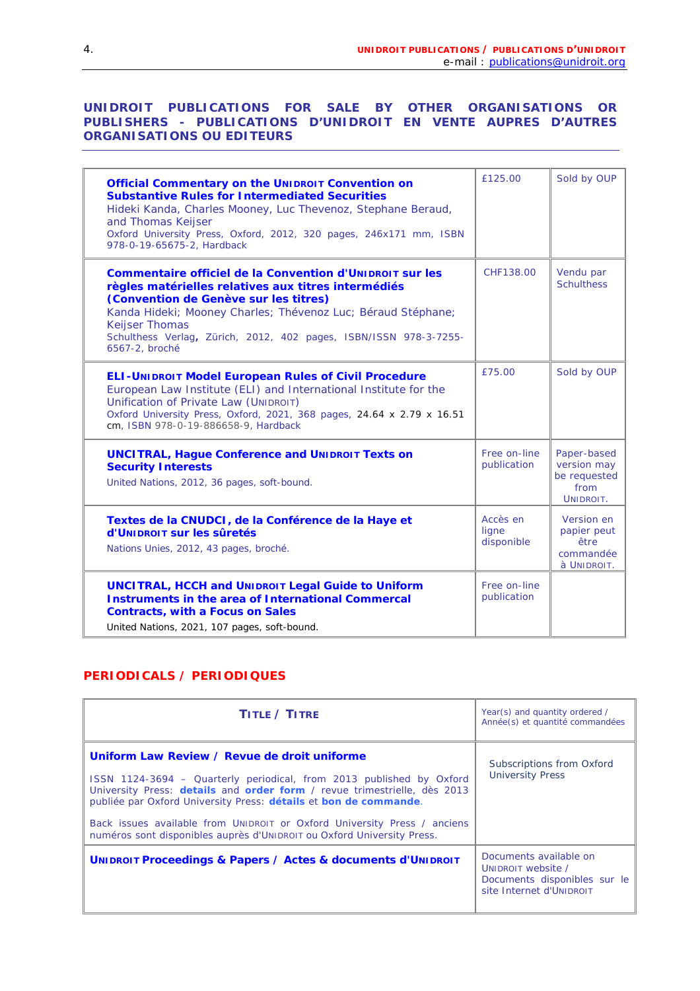#### **UNIDROIT PUBLICATIONS FOR SALE BY OTHER ORGANISATIONS OR PUBLISHERS -** *PUBLICATIONS D'UNIDROIT EN VENTE AUPRES D'AUTRES ORGANISATIONS OU EDITEURS*

|                                                                                                                                                                                                                                                                                                                                          | £125.00                         | Sold by OUP                                                     |
|------------------------------------------------------------------------------------------------------------------------------------------------------------------------------------------------------------------------------------------------------------------------------------------------------------------------------------------|---------------------------------|-----------------------------------------------------------------|
| <b>Official Commentary on the UNIDROIT Convention on</b><br><b>Substantive Rules for Intermediated Securities</b><br>Hideki Kanda, Charles Mooney, Luc Thevenoz, Stephane Beraud,<br>and Thomas Keijser<br>Oxford University Press, Oxford, 2012, 320 pages, 246x171 mm, ISBN<br>978-0-19-65675-2, Hardback                              |                                 |                                                                 |
| Commentaire officiel de la Convention d'UNIDROIT sur les<br>règles matérielles relatives aux titres intermédiés<br>(Convention de Genève sur les titres)<br>Kanda Hideki; Mooney Charles; Thévenoz Luc; Béraud Stéphane;<br><b>Keijser Thomas</b><br>Schulthess Verlag, Zürich, 2012, 402 pages, ISBN/ISSN 978-3-7255-<br>6567-2, broché | CHF138.00                       | Vendu par<br><b>Schulthess</b>                                  |
| <b>ELI-UNIDROIT Model European Rules of Civil Procedure</b><br>European Law Institute (ELI) and International Institute for the<br>Unification of Private Law (UNIDROIT)<br>Oxford University Press, Oxford, 2021, 368 pages, 24.64 x 2.79 x 16.51<br>cm, ISBN 978-0-19-886658-9, Hardback                                               | £75.00                          | Sold by OUP                                                     |
| <b>UNCITRAL, Hague Conference and UNIDROIT Texts on</b><br><b>Security Interests</b><br>United Nations, 2012, 36 pages, soft-bound.                                                                                                                                                                                                      | Free on-line<br>publication     | Paper-based<br>version may<br>be requested<br>from<br>UNIDROIT. |
| Textes de la CNUDCI, de la Conférence de la Haye et<br><b>d'UNIDROIT sur les sûretés</b><br>Nations Unies, 2012, 43 pages, broché.                                                                                                                                                                                                       | Accès en<br>ligne<br>disponible | Version en<br>papier peut<br>être<br>commandée<br>à UNIDROIT.   |
| <b>UNCITRAL, HCCH and UNIDROIT Legal Guide to Uniform</b><br><b>Instruments in the area of International Commercal</b><br><b>Contracts, with a Focus on Sales</b><br>United Nations, 2021, 107 pages, soft-bound.                                                                                                                        | Free on-line<br>publication     |                                                                 |

#### **PERIODICALS / PERIODIQUES**

| TITLE / TITRE                                                                                                                                                                                                                                                                                                                                                                                                              | Year(s) and quantity ordered /<br>Année(s) et quantité commandées                                        |
|----------------------------------------------------------------------------------------------------------------------------------------------------------------------------------------------------------------------------------------------------------------------------------------------------------------------------------------------------------------------------------------------------------------------------|----------------------------------------------------------------------------------------------------------|
| Uniform Law Review / Revue de droit uniforme<br>ISSN 1124-3694 - Quarterly periodical, from 2013 published by Oxford<br>University Press: details and order form / revue trimestrielle, dès 2013<br>publiée par Oxford University Press: détails et bon de commande.<br>Back issues available from UNIDROIT or Oxford University Press / anciens<br>numéros sont disponibles auprès d'UNIDROIT ou Oxford University Press. | Subscriptions from Oxford<br><b>University Press</b>                                                     |
| UNIDROIT Proceedings & Papers / Actes & documents d'UNIDROIT                                                                                                                                                                                                                                                                                                                                                               | Documents available on<br>UNIDROIT website /<br>Documents disponibles sur le<br>site Internet d'UNIDROIT |